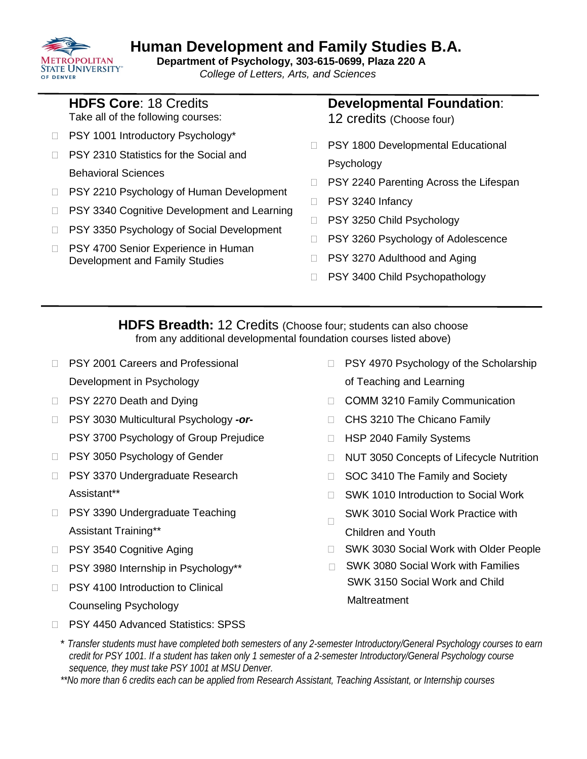#### **METROPOLITAN STATE UNIVERSITY**" OF DENVER

# **Human Development and Family Studies B.A. Department of Psychology, 303-615-0699, Plaza 220 A**

 *College of Letters, Arts, and Sciences*

|  | <b>HDFS Core: 18 Credits</b> |  |
|--|------------------------------|--|

Take all of the following courses:

- □ PSY 1001 Introductory Psychology\*
- □ PSY 2310 Statistics for the Social and Behavioral Sciences
- □ PSY 2210 Psychology of Human Development
- □ PSY 3340 Cognitive Development and Learning
- □ PSY 3350 Psychology of Social Development
- □ PSY 4700 Senior Experience in Human Development and Family Studies

# **Developmental Foundation**:

- 12 credits (Choose four)
- □ PSY 1800 Developmental Educational Psychology
- □ PSY 2240 Parenting Across the Lifespan
- □ PSY 3240 Infancy
- □ PSY 3250 Child Psychology
- □ PSY 3260 Psychology of Adolescence
- □ PSY 3270 Adulthood and Aging
- □ PSY 3400 Child Psychopathology

**HDFS Breadth:** 12 Credits (Choose four; students can also choose from any additional developmental foundation courses listed above)

- □ PSY 2001 Careers and Professional Development in Psychology
- □ PSY 2270 Death and Dying
- PSY 3030 Multicultural Psychology *-or-*PSY 3700 Psychology of Group Prejudice
- □ PSY 3050 Psychology of Gender
- □ PSY 3370 Undergraduate Research Assistant\*\*
- □ PSY 3390 Undergraduate Teaching Assistant Training\*\*
- □ PSY 3540 Cognitive Aging
- □ PSY 3980 Internship in Psychology\*\*
- □ PSY 4100 Introduction to Clinical Counseling Psychology
- □ PSY 4970 Psychology of the Scholarship of Teaching and Learning
- COMM 3210 Family Communication
- CHS 3210 The Chicano Family
- □ HSP 2040 Family Systems
- □ NUT 3050 Concepts of Lifecycle Nutrition
- □ SOC 3410 The Family and Society
- $\Box$ SWK 1010 Introduction to Social Work
- $\Box$ SWK 3010 Social Work Practice with
- Children and Youth
- □ SWK 3030 Social Work with Older People
- □ SWK 3080 Social Work with Families SWK 3150 Social Work and Child **Maltreatment**

- □ PSY 4450 Advanced Statistics: SPSS
	- \* *Transfer students must have completed both semesters of any 2-semester Introductory/General Psychology courses to earn credit for PSY 1001. If a student has taken only 1 semester of a 2-semester Introductory/General Psychology course sequence, they must take PSY 1001 at MSU Denver.*
	- *\*\*No more than 6 credits each can be applied from Research Assistant, Teaching Assistant, or Internship courses*